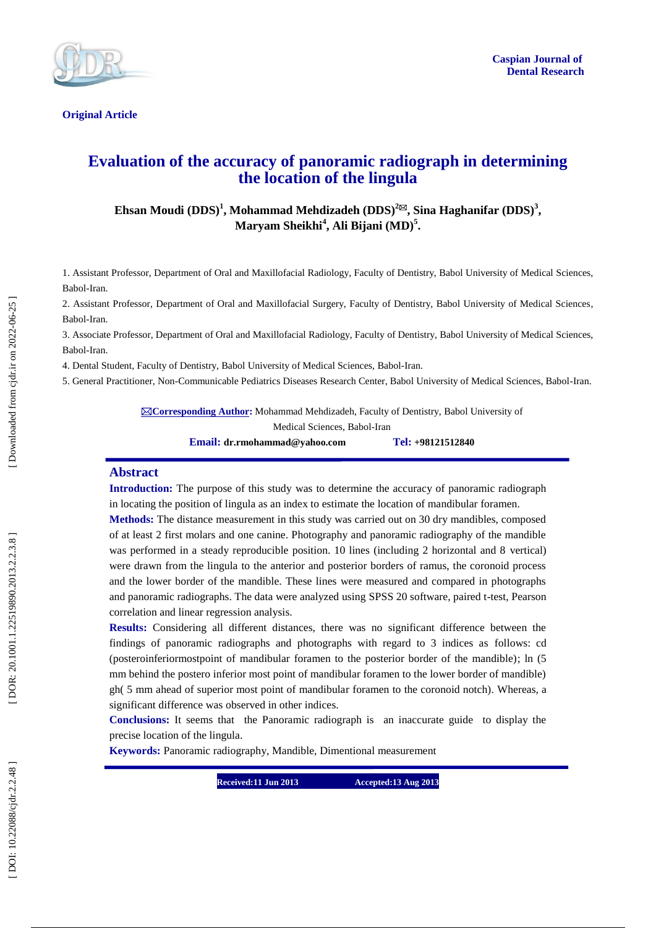

**Original Article** 

# **Evaluation of the accuracy of panoramic radiograph in determining the location of the lingula**

**Ehsan Moudi (DDS) 1 , Mohammad Mehdizadeh (DDS) 2 , Sina Haghanifar (DDS) 3 , Maryam Sheikhi 4 , Ali Bijani (MD) 5 .**

1. Assistant Professor, Department of Oral and Maxillofacial Radiology, Faculty of Dentistry, Babol University of Medical Sciences, Babol -Iran.

2. Assistant Professor, Department of Oral and Maxillofacial Surgery, Faculty of Dentistry, Babol University of Medical Sciences, Babol -Iran.

3. Associate Professor, Department of Oral and Maxillofacial Radiology, Faculty of Dentistry, Babol University of Medical Sciences, Babol -Iran.

4. Dental Student, Faculty of Dentistry, Babol University of Medical Sciences, Babol -Iran.

5. General Practitioner, Non -Communicable Pediatrics Diseases Research Center, Babol University of Medical Sciences, Babol -Iran.

**⊠Corresponding Author:** Mohammad Mehdizadeh, Faculty of Dentistry, Babol University of Medical Sciences, Babol -Iran

**Email: dr.rmohammad@yahoo.com Tel: +98121512840**

#### **Abstract**

**Introduction :** The purpose of this study was to determine the accuracy of panoramic radiograph in locating the position of lingula as an index to estimate the location of mandibular foramen.

**Methods:** The distance measurement in this study was carried out on 30 dry mandibles, composed of at least 2 first molars and one canine. Photography and panoramic radiography of the mandible was performed in a steady reproducible position. 10 lines (including 2 horizontal and 8 vertical) were drawn from the lingula to the anterior and posterior borders of ramus, the coronoid process and the lower border of the mandible. These lines were measured and compared in photographs and panoramic radiographs. The data were analyzed using SPSS 20 software, paired t -test, Pearson correlation and linear regression analysis.

**Results:** Considering all different distances, there was no significant difference between the findings of panoramic radiographs and photographs with regard to 3 indices as follows: cd (posteroinferiormostpoint of mandibular foramen to the posterior border of the mandible) ; ln (5 mm behind the postero inferior most point of mandibular foramen to the lower border of mandible) gh( 5 mm ahead of superior most point of mandibular foramen to the coronoid notch) . Whereas, a significant difference was observed in other indices.

**Conclusions:** It seems that the Panoramic radiograph is an inaccurate guide to display the precise location of the lingula.

**Keywords:** Panoramic radiography, Mandible, Dimen tional measurement

**Received:11 Jun 2013 Accepted:13 Aug 2013**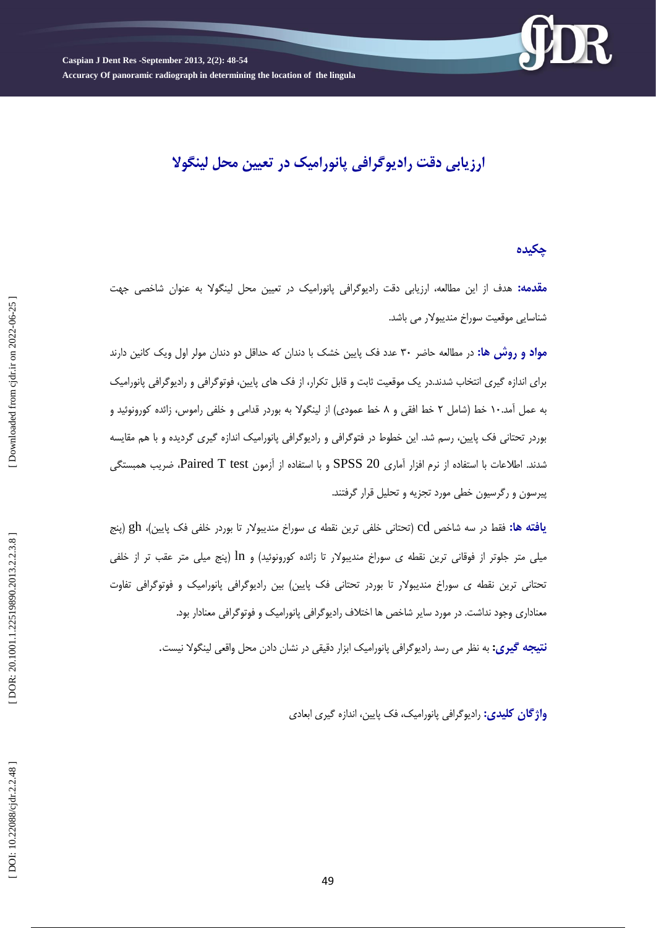

**ارزیابی دقت رادیوگرافی پانورامیک در تعیین محل لینگوال**

### **چکیده**

**مقدمه:** هدف از این مطالعه، ارزیابی دقت رادیوگرافی پانورامیک در تعیین محل لینگولا به عنوان شاخصی جهت شناسایی موقعیت سوراخ مندیبولار می باشد.

**مواد و روش ها:** در مطالعه حاضر ۳۰ عدد فک پایین خشک با دندان که حداقل دو دندان مولر اول ویک کانین دارند برای اندازه گیری انتخاب شدند.در یک موقعیت ثابت و قابل تکرار، از فک های پایین، فوتوگرافی و رادیوگرافی پانورامیک به عمل امد.۱۰ خط (شامل ۲ خط افقی و ۸ خط عمودی) از لینگولا به بوردر قدامی و خلفی راموس، زائده کورونوئید و بوردر تحتانی فک پایین، رسم شد. این خطوط در فتوگرافی و رادیوگرافی پانورامیک اندازه گیری گردیده و با هم مقایسه شدند. اطلاعات با استفاده از نرم افزار آماری SPSS 20 و با استفاده از آزمون Paired T test، ضریب همبستگی پیرسون و رگرسیون خطی مورد تجزیه و تحلیل قرار گرفتند.

**یافته ها: ف**قط در سه شاخص cd (تحتانی خلفی ترین نقطه ی سوراخ مندیبولار تا بوردر خلفی فک پایین)، gh (پِنج میلی متر جلوتر از فوقانی ترین نقطه ی سوراخ مندیبولار تا زائده کورونوئید) و 1n (پنج میلی متر عقب تر از خلفی تحتانی ترین نقطه ی سوراخ مندیبولار تا بوردر تحتانی فک پایین) بین رادیوگرافی پانورامیک و فوتوگرافی تفاوت معناداری وجود نداشت. در مورد سایر شاخص ها اختلاف رادیوگرافی پانورامیک و فوتوگرافی معنادار بود.

**نتیجه گیری:** به نظر می رسد رادیوگرافی پانورامیک ابزار دقیقی در نشان دادن محل واقعی لینگولا نیست.

**واژگان کلیدی:** رادیوگرافی پانورامیک، فک پایین، اندازه گیری ابعادی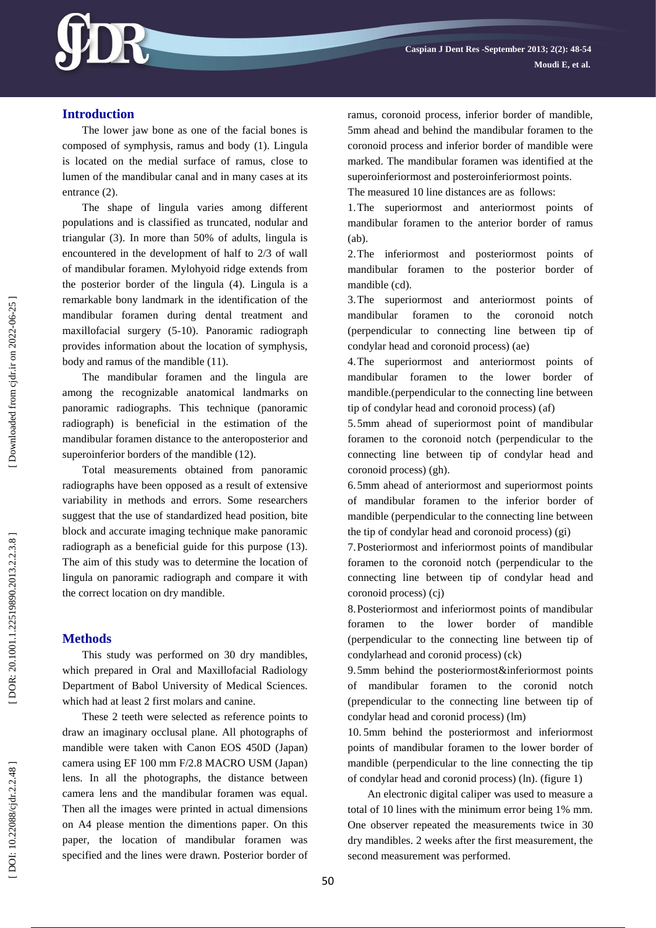

## **Introduction**

The lower jaw bone as one of the facial bones is composed of symphysis, ramus and body (1) . Lingula is located on the medial surface of ramus, close to lumen of the mandibular canal and in many cases at its entrance (2).

The shape of lingula varies among different populations and is classified as truncated, nodular and triangular (3). In more than 50% of adults, lingula is encountered in the development of half to 2/3 of wall of mandibular foramen. Mylohyoid ridge extends from the posterior border of the lingula (4). Lingula is a remarkable bony landmark in the identification of the mandibular foramen during dental treatment and maxillofacial surgery (5 -10). Panoramic radiograph provides information about the location of symphysis, body and ramus of the mandible (11).

The mandibular foramen and the lingula are among the recognizable anatomical landmarks on panoramic radiographs. This technique (panoramic radiograph) is beneficial in the estimation of the mandibular foramen distance to the anteroposterior and superoinferior borders of the mandible (12).

Total measurements obtained from panoramic radiographs have been opposed as a result of extensive variability in methods and errors. Some researchers suggest that the use of standardized head position, bite block and accurate imaging technique make panoramic radiograph as a beneficial guide for this purpose (13). The aim of this study was to determine the location of lingula on panoramic radiograph and compare it with the correct location on dry mandible.

### **Methods**

This study was performed on 30 dry mandibles, which prepared in Oral and Maxillofacial Radiology Department of Babol University of Medical Sciences. which had at least 2 first molars and canine.

These 2 teeth were selected as reference points to draw an imaginary occlusal plane. All photographs of mandible were taken with Canon EOS 450D (Japan) camera using EF 100 mm F/2.8 MACRO USM (Japan) lens. In all the photographs, the distance between camera lens and the mandibular foramen was equal. Then all the images were printed in actual dimensions on A4 please mention the dimentions paper. On this paper, the location of mandibular foramen was specified and the lines were drawn. Posterior border of ramus, coronoid process, inferior border of mandible, 5mm ahead and behind the mandibular foramen to the coronoid process and inferior border of mandible were marked. The mandibular foramen was identified at the superoinferiormost and posteroinferiormost points.

The measured 10 line distances are as follows:

1.The superiormost and anteriormost points of mandibular foramen to the anterior border of ramus  $(ah)$ .

2.The inferiormost and posteriormost points of mandibular foramen to the posterior border of mandible (cd).

3.The superiormost and anteriormost points of mandibular foramen to the coronoid notch (perpendicular to connecting line between tip of condylar head and coronoid process) (ae)

4.The superiormost and anteriormost points of mandibular foramen to the lower border of mandible.(perpendicular to the connecting line between tip of condylar head and coronoid process) (af)

5.5mm ahead of superiormost point of mandibular foramen to the coronoid notch (perpendicular to the connecting line between tip of condylar head and coronoid process) (gh).

6.5mm ahead of anteriormost and superiormost points of mandibular foramen to the inferior border of mandible (perpendicular to the connecting line between the tip of condylar head and coronoid process) (gi)

7.Posteriormost and inferiormost points of mandibular foramen to the coronoid notch (perpendicular to the connecting line between tip of condylar head and coronoid process) (cj)

8.Posteriormost and inferiormost points of mandibular foramen to the lower border of mandible (perpendicular to the connecting line between tip of condylarhead and coronid process) (ck)

9.5mm behind the posteriormost&inferiormost points of mandibular foramen to the coronid notch (prependicular to the connecting line between tip of condylar head and coronid process) ( lm)

10 . 5mm behind the posteriormost and inferiormost points of mandibular foramen to the lower border of mandible (perpendicular to the line connecting the tip of condylar head and coronid process) ( ln) . ( figure 1)

An electronic digital caliper was used to measure a total of 10 lines with the minimum error being 1% mm. One observer repeated the measurements twice in 30 dry mandibles. 2 weeks after the first measurement, the second measurement was performed.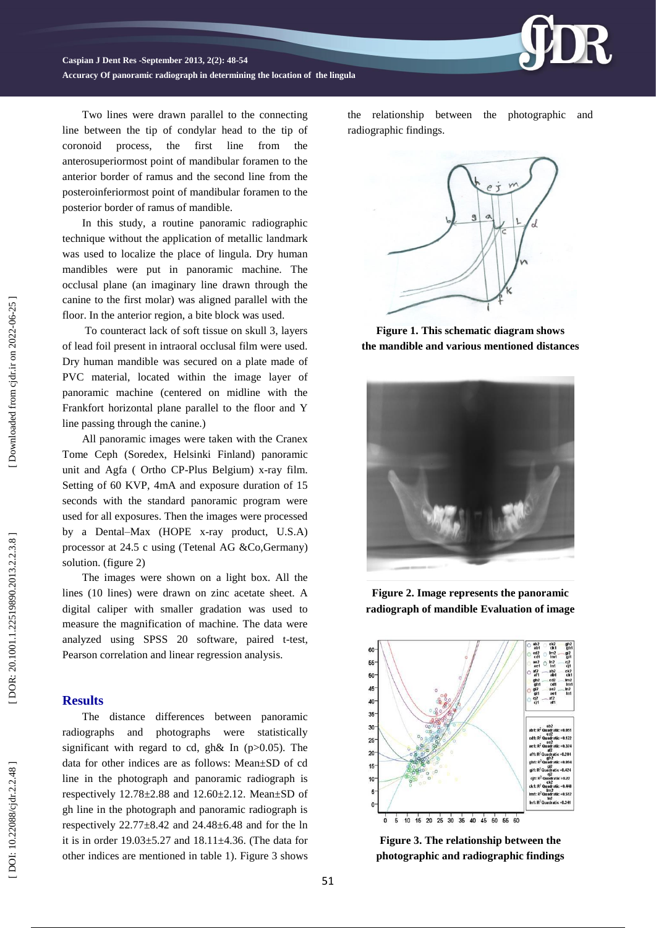**Accuracy Of panoramic radiograph in determining the location of the lingula**

Two lines were drawn parallel to the connecting line between the tip of condylar head to the tip of coronoid process, the first line from the anterosuperiormost point of mandibular foramen to the anterior border of ramus and the second line from the posteroinferiormost point of mandibular foramen to the posterior border of ramus of mandible.

In this study, a routine panoramic radiographic technique without the application of metallic landmark was used to localize the place of lingula. Dry human mandibles were put in panoramic machine. The occlusal plane (an imaginary line drawn through the canine to the first molar) was aligned parallel with the floor. In the anterior region, a bite block was used.

To counteract lack of soft tissue on skull 3, layers of lead foil present in intraoral occlusal film were used. Dry human mandible was secured on a plate made of PVC material, located within the image layer of panoramic machine (centered on midline with the Frankfort horizontal plane parallel to the floor and Y line passing through the canine.)

All panoramic images were taken with the Cranex Tome Ceph (Sorede x, Helsinki Finland) panoramic unit and Agfa ( Ortho CP -Plus Belgium) x -ray film. Setting of 60 KVP, 4 mA and exposure duration of 15 seconds with the standard panoramic program were used for all exposures. Then the images were processed by a Dental –Max (HOPE x -ray product, U.S.A) processor at 24.5 c using (Tetenal AG &Co,Germany) solution. ( figure 2)

The images were shown on a light box. All the lines (10 lines) were drawn on zinc acetate sheet. A digital caliper with smaller gradation was used to measure the magnification of machine. The data were analyzed using SPSS 20 software, paired t -test, Pearson correlation and linear regression analysis.

### **Results**

The distance differences between panoramic radiographs and photographs were statistically significant with regard to cd, gh& In  $(p>0.05)$ . The data for other indices are as follows: Mean±SD of cd line in the photograph and panoramic radiograph is respectively 12.78±2.88 and 12.60±2.12. Mean±SD of gh line in the photograph and panoramic radiograph is respectively  $22.77\pm8.42$  and  $24.48\pm6.48$  and for the ln it is in order  $19.03 \pm 5.27$  and  $18.11 \pm 4.36$ . (The data for other indices are mentioned in table 1). Figure 3 shows the relationship between the photographic and radiographic findings .



**Figure 1. This schematic diagram shows the mandible and various mentioned distances**



**Figure 2. Image represents the panoramic radiograph of mandible Evaluation of image**



**Figure 3. The relationship between the photographic and radiographic findings**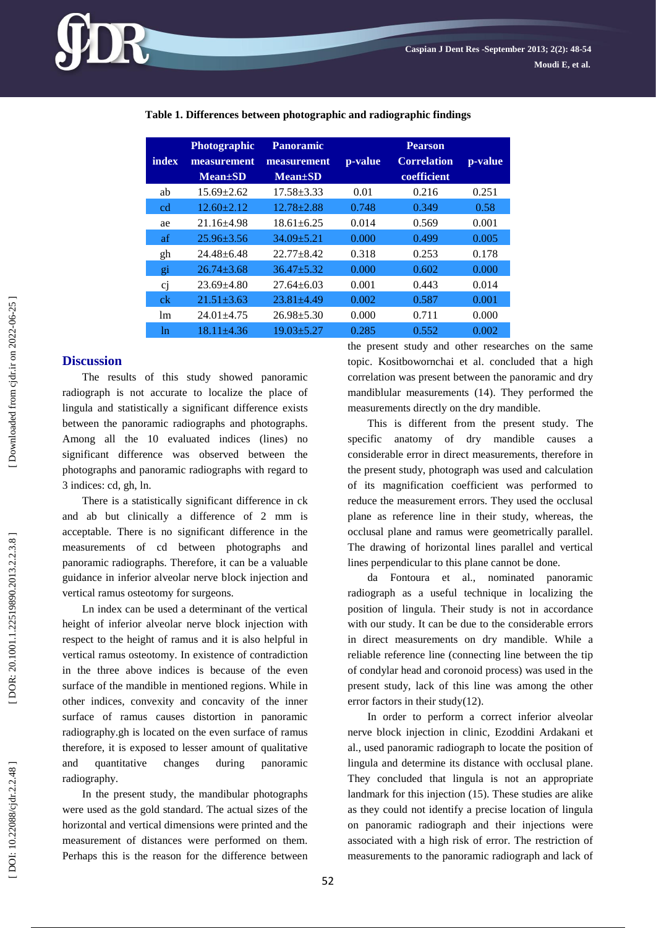**Table 1. Differences between photographic and radiographic findings**

| index | <b>Photographic</b><br>measurement<br>$Mean \pm SD$ | <b>Panoramic</b><br>measurement<br>$Mean \pm SD$ | p-value | <b>Pearson</b><br><b>Correlation</b><br>coefficient | p-value |
|-------|-----------------------------------------------------|--------------------------------------------------|---------|-----------------------------------------------------|---------|
| ab    | $15.69 \pm 2.62$                                    | $17.58 \pm 3.33$                                 | 0.01    | 0.216                                               | 0.251   |
| cd    | $12.60 + 2.12$                                      | $12.78 + 2.88$                                   | 0.748   | 0.349                                               | 0.58    |
| ae    | $21.16 + 4.98$                                      | $18.61 \pm 6.25$                                 | 0.014   | 0.569                                               | 0.001   |
| af    | $25.96 + 3.56$                                      | $34.09 + 5.21$                                   | 0.000   | 0.499                                               | 0.005   |
| gh    | $24.48 + 6.48$                                      | $22.77 + 8.42$                                   | 0.318   | 0.253                                               | 0.178   |
| gi    | $26.74 \pm 3.68$                                    | $36.47 + 5.32$                                   | 0.000   | 0.602                                               | 0.000   |
| cj    | $23.69 + 4.80$                                      | $27.64 + 6.03$                                   | 0.001   | 0.443                                               | 0.014   |
| ck    | $21.51 + 3.63$                                      | $23.81 \pm 4.49$                                 | 0.002   | 0.587                                               | 0.001   |
| 1m    | $24.01 + 4.75$                                      | $26.98 \pm 5.30$                                 | 0.000   | 0.711                                               | 0.000   |
| ln    | $18.11 + 4.36$                                      | 19.03+5.27                                       | 0.285   | 0.552                                               | 0.002   |

## **Discussion**

The results of this study showed panoramic radiograph is not accurate to localize the place of lingula and statistically a significant difference exists between the panoramic radiographs and photographs. Among all the 10 evaluated indices (lines) no significant difference was observed between the photographs and panoramic radiographs with regard to 3 indices: cd, gh, l n .

There is a statistically significant difference in ck and ab but clinically a difference of 2 mm is acceptable. There is no significant difference in the measurements of cd between photographs and panoramic radiographs. Therefore, it can be a valuable guidance in inferior alveolar nerve block injection and vertical ramus osteotomy for surgeons. Ln index can be used a determinant of the vertical

height of inferior alveolar nerve block injection with respect to the height of ramus and it is also helpful in vertical ramus osteotomy. In existence of contradiction in the three above indices is because of the even surface of the mandible in mentioned regions. While in other indices, convexity and concavity of the inner surface of ramus causes distortion in panoramic radiography.gh is located on the even surface of ramus therefore, it is exposed to lesser amount of qualitative and quantitative changes during panoramic radiography.

In the present study, the mandibular photographs were used as the gold standard. The actual sizes of the horizontal and vertical dimensions were printed and the measurement of distances were performed on them. Perhaps this is the reason for the difference between the present study and other researches on the same topic. Kositbowornchai et al. concluded that a high correlation was present between the panoramic and dry mandiblular measurements (14). They performed the measurements directly on the dry mandible.

This is different from the present study. The specific anatomy of dry mandible causes a considerable error in direct measurements, therefore in the present study, photograph was used and calculation of its magnification coefficient was performed to reduce the measurement errors. They used the occlusal plane as reference line in their study, whereas, the occlusal plane and ramus were geometrically parallel. The drawing of horizontal lines parallel and vertical lines perpendicular to this plane cannot be done. da Fontoura et al., nominated panoramic

radiograph as a useful technique in localizing the position of lingula. Their study is not in accordance with our study. It can be due to the considerable errors in direct measurements on dry mandible. While a reliable reference line (connecting line between the tip of condylar head and coronoid process) was used in the present study, lack of this line was among the other error factors in their study(12).

In order to perform a correct inferior alveolar nerve block injection in clinic, Ezoddini Ardakani et al., used panoramic radiograph to locate the position of lingula and determine its distance with occlusal plane. They concluded that lingula is not an appropriate landmark for this injection (15). These studies are alike as they could not identify a precise location of lingula on panoramic radiograph and their injections were associated with a high risk of error. The restriction of measurements to the panoramic radiograph and lack of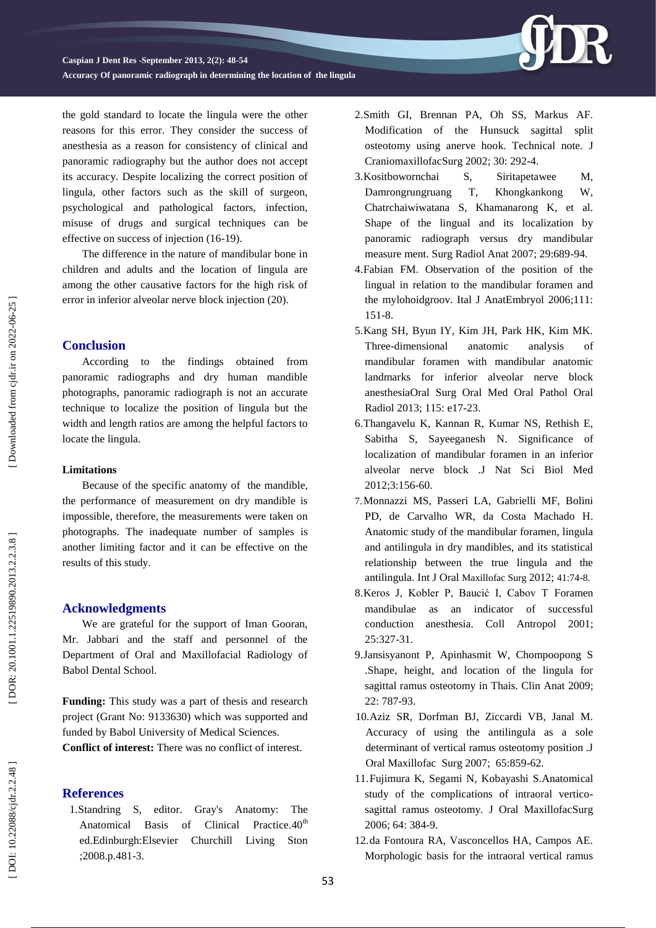**Accuracy Of panoramic radiograph in determining the location of the lingula**

the gold standard to locate the lingula were the other reasons for this error. They consider the success of anesthesia as a reason for consistency of clinical and panoramic radiography but the author does not accept its accuracy. Despite localizing the correct position of lingula, other factors such as the skill of surgeon, psychological and pathological factors, infection, misuse of drugs and surgical techniques can be effective on success of injection (16 -19).

The difference in the nature of mandibular bone in children and adults and the location of lingula are among the other causative factors for the high risk of error in inferior alveolar nerve block injection (20).

### **Conclusion**

According to the findings obtained from panoramic radiographs and dry human mandible photographs, panoramic radiograph is not an accurate technique to localize the position of lingula but the width and length ratios are among the helpful factors to locate the lingula.

#### **Limitations**

Because of the specific anatomy of the mandible, the performance of measurement on dry mandible is impossible, therefore, the measurements were taken on photographs. The inadequate number of samples is another limiting factor and it can be effective on the results of this study.

### **Acknowledgment s**

We are grateful for the support of Iman Gooran, Mr. Jabbari and the staff and personnel of the Department of Oral and Maxillofacial Radiology of Babol Dental School.

**Funding:** This study was a part of thesis and research project (Grant No: 9133630) which was supported and funded by Babol University of Medical Sciences. **Conflict of interest:** There was no conflict of interest.

## **References**

1.Standring S, editor. Gray's Anatomy: The Anatomical Basis of Clinical Practice.40<sup>th</sup> ed.Edinburgh:Elsevier Churchill Living Ston ;200 8.p.481 -3.

- 2 .Smith GI, Brennan PA, Oh SS, Markus AF. Modification of the Hunsuck sagittal split osteotomy using anerve hook. Technical note. J CraniomaxillofacSurg 2002; 30: 292 -4.
- 3 .Kositbowornchai S, Siritapetawee M, Damrongrungruang T, Khongkankong W, Chatrchaiwiwatana S, Khamanarong K, et al. Shape of the lingual and its localization by panoramic radiograph versus dry mandibular measure ment. Surg Radiol Anat 2007; 29:689 -94.
- 4 .Fabian FM. Observation of the position of the lingual in relation to the mandibular foramen and the mylohoidgroov. Ital J AnatEmbryol 2006;111: 151 -8.
- 5 .Kang SH, Byun IY, Kim JH, Park HK, Kim MK. Three -dimensional anatomic analysis of mandibular foramen with mandibular anatomic landmarks for inferior alveolar nerve block anesthesiaOral Surg Oral Med Oral Pathol Oral Radiol 2013; 115: e17 -23.
- 6 .Thangavelu K, Kannan R, Kumar NS, Rethish E, Sabitha S, Sayeeganesh N . Significance of localization of mandibular foramen in an inferior alveolar nerve block .J Nat Sci Biol Med 2012;3:156 -60.
- 7 .Monnazzi MS, Passeri LA, Gabrielli MF, Bolini PD, de Carvalho WR, da Costa Machado H . Anatomic study of the mandibular foramen, lingula and antilingula in dry mandibles, and its statistical relationship between the true lingula and the antilingula. Int J Oral Maxillofac Surg 2012; 41:74 -8.
- 8 .Keros J, Kobler P, Baucić I, Cabov T Foramen mandibulae as an indicator of successful conduction anesthesia. Coll Antropol 2001; 25:327 -31.
- 9 .Jansisyanont P, Apinhasmit W, Chompoopong S .Shape, height, and location of the lingula for sagittal ramus osteotomy in Thais. Clin Anat 2009; 22: 787 -93.
- 10 .Aziz SR, Dorfman BJ, Ziccardi VB, Janal M. Accuracy of using the antilingula as a sole determinant of vertical ramus osteotomy position .J Oral Maxillofac Surg 2007; 65:859 -62.
- 11 .Fujimura K, Segami N, Kobayashi S.Anatomical study of the complications of intraoral vertico sagittal ramus osteotomy. J Oral MaxillofacSurg 2006; 64: 384 -9.
- 12 .da Fontoura RA, Vasconcellos HA, Campos AE. Morphologic basis for the intraoral vertical ramus

Downloaded from cjdr.ir on 2022-06-25